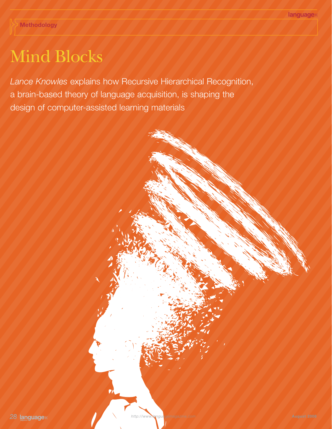## Mind Blocks

*Lance Knowles* explains how Recursive Hierarchical Recognition, a brain-based theory of language acquisition, is shaping the design of computer-assisted learning materials